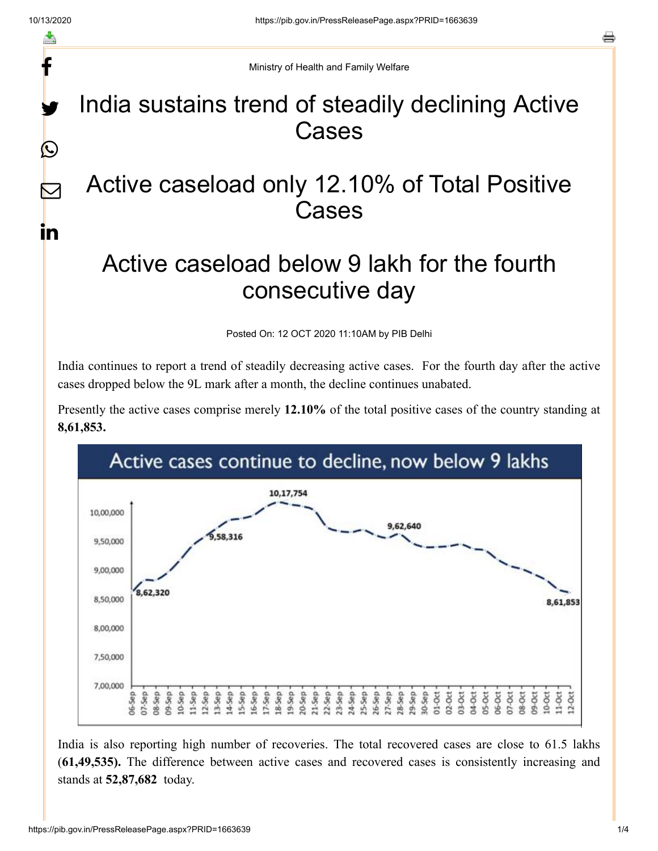f

y.

 $\bigcirc$ 

 $\bm{\nabla}$ 

in

o

Ministry of Health and Family Welfare

## India sustains trend of steadily declining Active Cases

## Active caseload only 12.10% of Total Positive Cases

## Active caseload below 9 lakh for the fourth consecutive day

Posted On: 12 OCT 2020 11:10AM by PIB Delhi

India continues to report a trend of steadily decreasing active cases. For the fourth day after the active cases dropped below the 9L mark after a month, the decline continues unabated.

Presently the active cases comprise merely **12.10%** of the total positive cases of the country standing at **8,61,853.**



India is also reporting high number of recoveries. The total recovered cases are close to 61.5 lakhs (**61,49,535).** The difference between active cases and recovered cases is consistently increasing and stands at **52,87,682** today.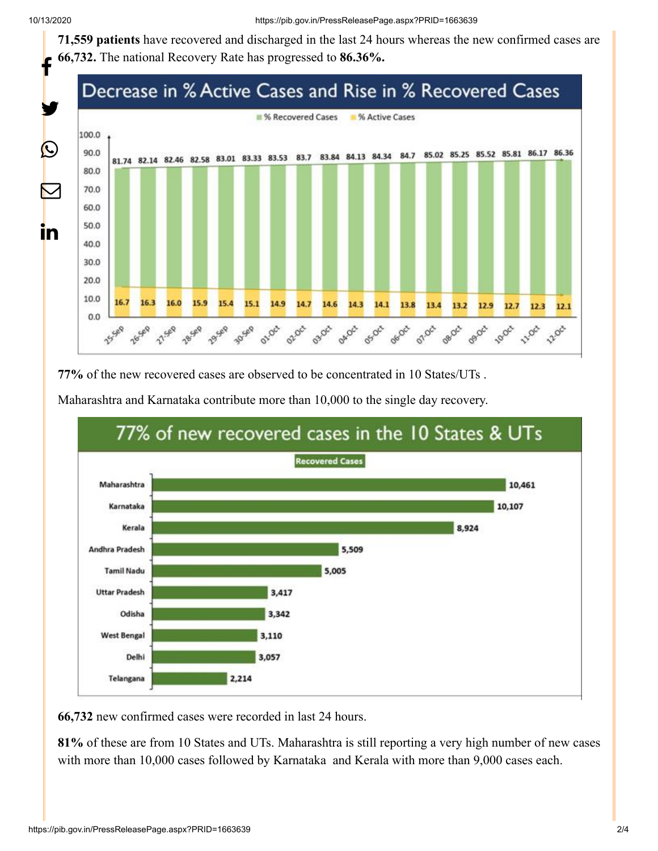**71,559 patients** have recovered and discharged in the last 24 hours whereas the new confirmed cases are **66,732.** The national Recovery Rate has progressed to **86.36%.**



**77%** of the new recovered cases are observed to be concentrated in 10 States/UTs .





**66,732** new confirmed cases were recorded in last 24 hours.

**81%** of these are from 10 States and UTs. Maharashtra is still reporting a very high number of new cases with more than 10,000 cases followed by Karnataka and Kerala with more than 9,000 cases each.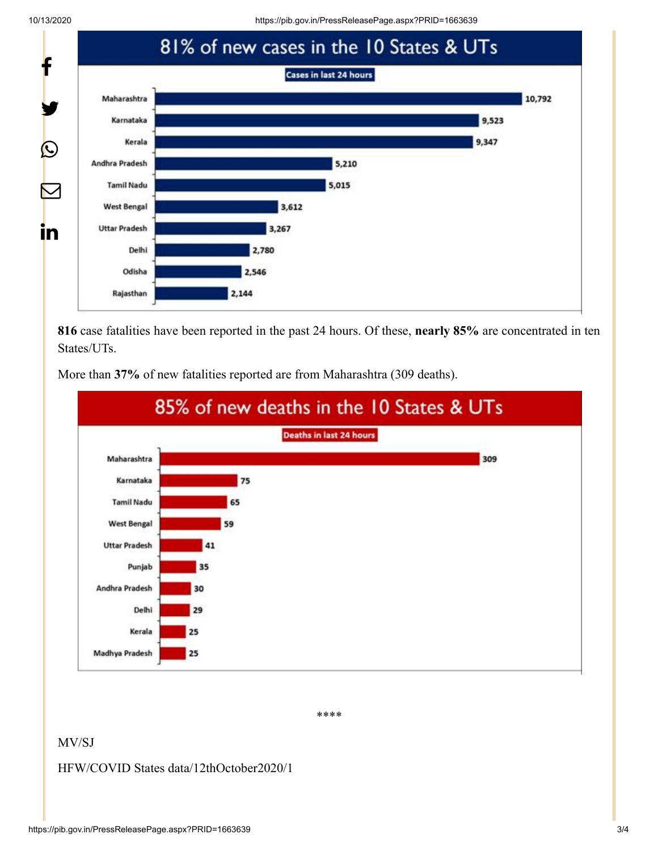10/13/2020 https://pib.gov.in/PressReleasePage.aspx?PRID=1663639



**816** case fatalities have been reported in the past 24 hours. Of these, **nearly 85%** are concentrated in ten States/UTs.



More than **37%** of new fatalities reported are from Maharashtra (309 deaths).

\*\*\*\*

## MV/SJ

HFW/COVID States data/12thOctober2020/1